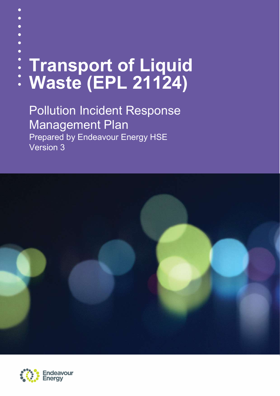| : Transport of Liquid<br>: Waste (EPL 21124) |
|----------------------------------------------|
|                                              |
|                                              |
|                                              |
|                                              |
|                                              |

Pollution Incident Response Management Plan Prepared by Endeavour Energy HSE Version 3



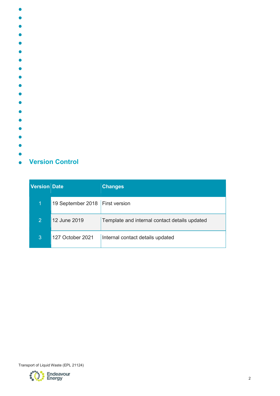- $\bullet$
- $\bullet$
- $\bullet$
- $\bullet$
- 
- $\bullet$
- $\bullet$
- $\bullet$
- $\bullet$
- 
- $\bullet$
- 
- ◠
- $\bullet$
- $\bullet$
- $\blacksquare$
- $\bullet$
- $\bullet$
- 
- 
- **Version Control**  $\bullet$

| Version Date   |                   | <b>Changes</b>                                |
|----------------|-------------------|-----------------------------------------------|
| 1              | 19 September 2018 | <b>First version</b>                          |
| $\overline{2}$ | 12 June 2019      | Template and internal contact details updated |
| 3              | 127 October 2021  | Internal contact details updated              |

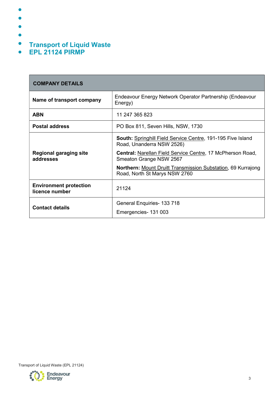- $\bullet$
- $\bullet$
- $\bullet$
- 
- $\bullet$
- $\bullet$ Transport of Liquid Waste
- $\bullet$ EPL 21124 PIRMP

| <b>COMPANY DETAILS</b>                          |                                                                                                                                                                                                                                                                                                         |  |
|-------------------------------------------------|---------------------------------------------------------------------------------------------------------------------------------------------------------------------------------------------------------------------------------------------------------------------------------------------------------|--|
| Name of transport company                       | Endeavour Energy Network Operator Partnership (Endeavour<br>Energy)                                                                                                                                                                                                                                     |  |
| <b>ABN</b>                                      | 11 247 365 823                                                                                                                                                                                                                                                                                          |  |
| <b>Postal address</b>                           | PO Box 811, Seven Hills, NSW, 1730                                                                                                                                                                                                                                                                      |  |
| <b>Regional garaging site</b><br>addresses      | <b>South:</b> Springhill Field Service Centre, 191-195 Five Island<br>Road, Unanderra NSW 2526)<br><b>Central: Narellan Field Service Centre, 17 McPherson Road,</b><br>Smeaton Grange NSW 2567<br><b>Northern: Mount Druitt Transmission Substation, 69 Kurrajong</b><br>Road, North St Marys NSW 2760 |  |
| <b>Environment protection</b><br>licence number | 21124                                                                                                                                                                                                                                                                                                   |  |
| <b>Contact details</b>                          | General Enquiries- 133 718<br>Emergencies- 131 003                                                                                                                                                                                                                                                      |  |

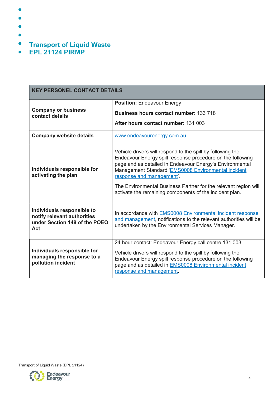- $\bullet$
- $\bullet$
- $\bullet$
- 
- $\bullet$
- $\bullet$ Transport of Liquid Waste
- $\bullet$ EPL 21124 PIRMP

| <b>KEY PERSONEL CONTACT DETAILS</b>                                                               |                                                                                                                                                                                                                                                                                |  |
|---------------------------------------------------------------------------------------------------|--------------------------------------------------------------------------------------------------------------------------------------------------------------------------------------------------------------------------------------------------------------------------------|--|
|                                                                                                   | <b>Position: Endeavour Energy</b>                                                                                                                                                                                                                                              |  |
| <b>Company or business</b><br>contact details                                                     | <b>Business hours contact number: 133 718</b>                                                                                                                                                                                                                                  |  |
|                                                                                                   | After hours contact number: 131 003                                                                                                                                                                                                                                            |  |
| <b>Company website details</b>                                                                    | www.endeavourenergy.com.au                                                                                                                                                                                                                                                     |  |
| Individuals responsible for<br>activating the plan                                                | Vehicle drivers will respond to the spill by following the<br>Endeavour Energy spill response procedure on the following<br>page and as detailed in Endeavour Energy's Environmental<br>Management Standard 'EMS0008 Environmental incident<br>response and management'.       |  |
|                                                                                                   | The Environmental Business Partner for the relevant region will<br>activate the remaining components of the incident plan.                                                                                                                                                     |  |
| Individuals responsible to<br>notify relevant authorities<br>under Section 148 of the POEO<br>Act | In accordance with EMS0008 Environmental incident response<br>and management, notifications to the relevant authorities will be<br>undertaken by the Environmental Services Manager.                                                                                           |  |
| Individuals responsible for<br>managing the response to a<br>pollution incident                   | 24 hour contact: Endeavour Energy call centre 131 003<br>Vehicle drivers will respond to the spill by following the<br>Endeavour Energy spill response procedure on the following<br>page and as detailed in <b>EMS0008</b> Environmental incident<br>response and management. |  |

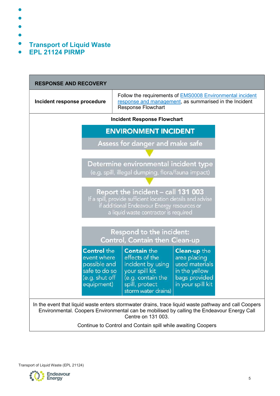- $\bullet$
- $\bullet$
- $\bullet$
- 
- $\bullet$
- $\bullet$ Transport of Liquid Waste
- $\bullet$ EPL 21124 PIRMP

| <b>RESPONSE AND RECOVERY</b>                                                                                                                                                             |                                                                                                                                           |                                                                                                                                                                                                    |  |  |
|------------------------------------------------------------------------------------------------------------------------------------------------------------------------------------------|-------------------------------------------------------------------------------------------------------------------------------------------|----------------------------------------------------------------------------------------------------------------------------------------------------------------------------------------------------|--|--|
| Incident response procedure                                                                                                                                                              | <b>Response Flowchart</b>                                                                                                                 | Follow the requirements of <b>EMS0008</b> Environmental incident<br>response and management, as summarised in the Incident                                                                         |  |  |
|                                                                                                                                                                                          | <b>Incident Response Flowchart</b>                                                                                                        |                                                                                                                                                                                                    |  |  |
|                                                                                                                                                                                          | <b>ENVIRONMENT INCIDENT</b>                                                                                                               |                                                                                                                                                                                                    |  |  |
|                                                                                                                                                                                          | Assess for danger and make safe                                                                                                           |                                                                                                                                                                                                    |  |  |
|                                                                                                                                                                                          |                                                                                                                                           |                                                                                                                                                                                                    |  |  |
| Determine environmental incident type<br>(e.g. spill, illegal dumping, flora/fauna impact)                                                                                               |                                                                                                                                           |                                                                                                                                                                                                    |  |  |
| Report the incident - call 131 003<br>If a spill, provide sufficient location details and advise<br>if additional Endeavour Energy resources or<br>a liquid waste contractor is required |                                                                                                                                           |                                                                                                                                                                                                    |  |  |
|                                                                                                                                                                                          | <b>Respond to the incident:</b><br>Control, Contain then Clean-up                                                                         |                                                                                                                                                                                                    |  |  |
| <b>Control</b> the<br>event where<br>possible and<br>safe to do so<br>(e.g. shut off<br>equipment)                                                                                       | <b>Contain the</b><br>effects of the<br>incident by using<br>your spill kit<br>(e.g. contain the<br>spill, protect<br>storm water drains) | <b>Clean-up the</b><br>area placing<br>used materials<br>in the yellow<br>bags provided<br>in your spill kit                                                                                       |  |  |
|                                                                                                                                                                                          | Centre on 131 003.<br>Continue to Control and Contain spill while awaiting Coopers                                                        | In the event that liquid waste enters stormwater drains, trace liquid waste pathway and call Coopers<br>Environmental. Coopers Environmental can be mobilised by calling the Endeavour Energy Call |  |  |
|                                                                                                                                                                                          |                                                                                                                                           |                                                                                                                                                                                                    |  |  |

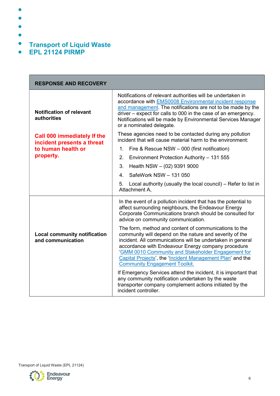- $\bullet$
- $\bullet$
- 
- 
- $\bullet$
- $\bullet$ Transport of Liquid Waste
- $\bullet$ EPL 21124 PIRMP

| <b>RESPONSE AND RECOVERY</b>                                                                        |                                                                                                                                                                                                                                                                                                                                                                                                                                                                                                                                                                                                                                                                                                                                                                                                                                       |  |
|-----------------------------------------------------------------------------------------------------|---------------------------------------------------------------------------------------------------------------------------------------------------------------------------------------------------------------------------------------------------------------------------------------------------------------------------------------------------------------------------------------------------------------------------------------------------------------------------------------------------------------------------------------------------------------------------------------------------------------------------------------------------------------------------------------------------------------------------------------------------------------------------------------------------------------------------------------|--|
| <b>Notification of relevant</b><br>authorities                                                      | Notifications of relevant authorities will be undertaken in<br>accordance with <b>EMS0008</b> Environmental incident response<br>and management. The notifications are not to be made by the<br>driver – expect for calls to 000 in the case of an emergency.<br>Notifications will be made by Environmental Services Manager<br>or a nominated delegate.                                                                                                                                                                                                                                                                                                                                                                                                                                                                             |  |
| <b>Call 000 immediately If the</b><br>incident presents a threat<br>to human health or<br>property. | These agencies need to be contacted during any pollution<br>incident that will cause material harm to the environment:<br>1 <sub>1</sub><br>Fire & Rescue NSW - 000 (first notification)<br>Environment Protection Authority - 131 555<br>2.<br>3.<br>Health NSW - (02) 9391 9000<br>SafeWork NSW - 131 050<br>4.<br>Local authority (usually the local council) – Refer to list in<br>5.<br>Attachment A,                                                                                                                                                                                                                                                                                                                                                                                                                            |  |
| <b>Local community notification</b><br>and communication                                            | In the event of a pollution incident that has the potential to<br>affect surrounding neighbours, the Endeavour Energy<br>Corporate Communications branch should be consulted for<br>advice on community communication.<br>The form, method and content of communications to the<br>community will depend on the nature and severity of the<br>incident. All communications will be undertaken in general<br>accordance with Endeavour Energy company procedure<br>'GMM 0010 Community and Stakeholder Engagement for<br>Capital Projects', the 'Incident Management Plan' and the<br><b>Community Engagement Toolkit.</b><br>If Emergency Services attend the incident, it is important that<br>any community notification undertaken by the waste<br>transporter company complement actions initiated by the<br>incident controller. |  |



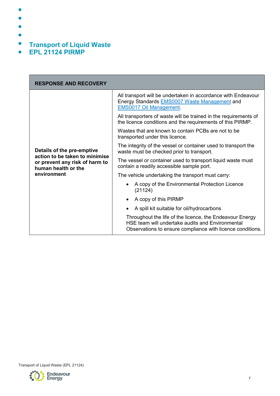- $\bullet$
- $\bullet$
- 
- 
- $\bullet$
- $\bullet$ Transport of Liquid Waste
- $\bullet$ EPL 21124 PIRMP

| <b>RESPONSE AND RECOVERY</b>                                                            |                                                                                                                                                                            |  |
|-----------------------------------------------------------------------------------------|----------------------------------------------------------------------------------------------------------------------------------------------------------------------------|--|
|                                                                                         | All transport will be undertaken in accordance with Endeavour<br>Energy Standards EMS0007 Waste Management and<br><b>EMS0017 Oil Management.</b>                           |  |
|                                                                                         | All transporters of waste will be trained in the requirements of<br>the licence conditions and the requirements of this PIRMP.                                             |  |
|                                                                                         | Wastes that are known to contain PCBs are not to be<br>transported under this licence.                                                                                     |  |
| Details of the pre-emptive                                                              | The integrity of the vessel or container used to transport the<br>waste must be checked prior to transport.                                                                |  |
| action to be taken to minimise<br>or prevent any risk of harm to<br>human health or the | The vessel or container used to transport liquid waste must<br>contain a readily accessible sample port.                                                                   |  |
| environment                                                                             | The vehicle undertaking the transport must carry:                                                                                                                          |  |
|                                                                                         | A copy of the Environmental Protection Licence<br>(21124)                                                                                                                  |  |
|                                                                                         | A copy of this PIRMP                                                                                                                                                       |  |
|                                                                                         | A spill kit suitable for oil/hydrocarbons                                                                                                                                  |  |
|                                                                                         | Throughout the life of the licence, the Endeavour Energy<br>HSE team will undertake audits and Environmental<br>Observations to ensure compliance with licence conditions. |  |



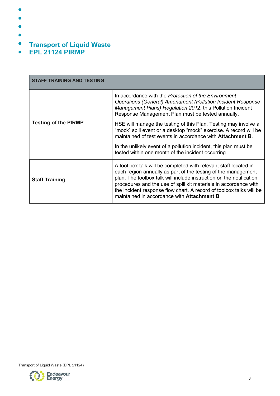- $\bullet$
- $\bullet$
- $\bullet$
- 
- $\bullet$
- $\bullet$ Transport of Liquid Waste
- $\bullet$ EPL 21124 PIRMP

| <b>STAFF TRAINING AND TESTING</b> |                                                                                                                                                                                                                                                                                                                                                                                                            |
|-----------------------------------|------------------------------------------------------------------------------------------------------------------------------------------------------------------------------------------------------------------------------------------------------------------------------------------------------------------------------------------------------------------------------------------------------------|
|                                   | In accordance with the Protection of the Environment<br><b>Operations (General) Amendment (Pollution Incident Response</b><br>Management Plans) Regulation 2012, this Pollution Incident<br>Response Management Plan must be tested annually.                                                                                                                                                              |
| <b>Testing of the PIRMP</b>       | HSE will manage the testing of this Plan. Testing may involve a<br>"mock" spill event or a desktop "mock" exercise. A record will be<br>maintained of test events in accordance with <b>Attachment B</b> .<br>In the unlikely event of a pollution incident, this plan must be<br>tested within one month of the incident occurring.                                                                       |
| <b>Staff Training</b>             | A tool box talk will be completed with relevant staff located in<br>each region annually as part of the testing of the management<br>plan. The toolbox talk will include instruction on the notification<br>procedures and the use of spill kit materials in accordance with<br>the incident response flow chart. A record of toolbox talks will be<br>maintained in accordance with <b>Attachment B</b> . |

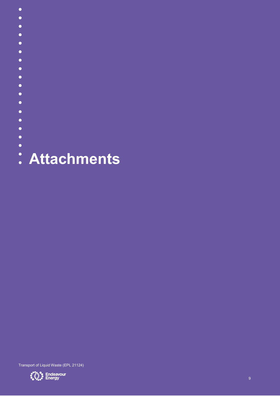- $\bullet$
- $\bullet$
- $\bullet$
- $\bullet$
- $\bullet$
- $\bullet$
- $\bullet$
- $\bullet$
- $\bullet$
- $\bullet$
- $\bullet$
- $\bullet$
- $\bullet$
- $\bullet$
- $\bullet$
- $\bullet$
- $\bullet$
- : Attachments

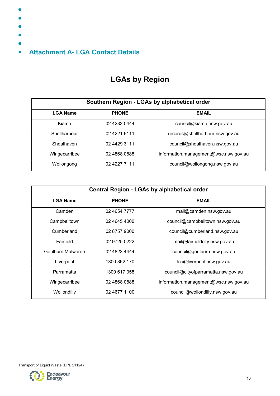- $\bullet$
- $\bullet$
- 
- $\bullet$
- 
- 
- Attachment A- LGA Contact Details  $\bullet$

## LGAs by Region

|                 | Southern Region - LGAs by alphabetical order |                                       |  |
|-----------------|----------------------------------------------|---------------------------------------|--|
| <b>LGA Name</b> | <b>PHONE</b>                                 | <b>EMAIL</b>                          |  |
| Kiama           | 02 4232 0444                                 | council@kiama.nsw.gov.au              |  |
| Shellharbour    | 02 4221 6111                                 | records@shellharbour.nsw.gov.au       |  |
| Shoalhaven      | 02 4429 3111                                 | council@shoalhaven.nsw.gov.au         |  |
| Wingecarribee   | 02 4868 0888                                 | information.management@wsc.nsw.gov.au |  |
| Wollongong      | 02 4227 7111                                 | council@wollongong.nsw.gov.au         |  |

| Central Region - LGAs by alphabetical order |              |                                       |
|---------------------------------------------|--------------|---------------------------------------|
| <b>LGA Name</b>                             | <b>PHONE</b> | <b>EMAIL</b>                          |
| Camden                                      | 02 4654 7777 | mail@camden.nsw.gov.au                |
| Campbelltown                                | 02 4645 4000 | council@campbelltown.nsw.gov.au       |
| Cumberland                                  | 02 8757 9000 | council@cumberland.nsw.gov.au         |
| Fairfield                                   | 02 9725 0222 | mail@fairfieldcity.nsw.gov.au         |
| Goulburn Mulwaree                           | 02 4823 4444 | council@goulburn.nsw.gov.au           |
| Liverpool                                   | 1300 362 170 | lcc@liverpool.nsw.gov.au              |
| Parramatta                                  | 1300 617 058 | council@cityofparramatta.nsw.gov.au   |
| Wingecarribee                               | 02 4868 0888 | information.management@wsc.nsw.gov.au |
| Wollondilly                                 | 02 4677 1100 | council@wollondilly.nsw.gov.au        |



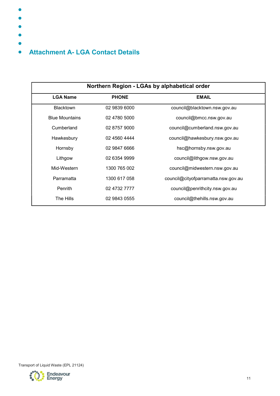- $\bullet$
- $\bullet$
- $\bullet$
- 
- $\bullet$
- $\bullet$

## Attachment A- LGA Contact Details  $\bullet$

|                       | Northern Region - LGAs by alphabetical order |                                     |
|-----------------------|----------------------------------------------|-------------------------------------|
| <b>LGA Name</b>       | <b>PHONE</b>                                 | <b>EMAIL</b>                        |
| <b>Blacktown</b>      | 02 9839 6000                                 | council@blacktown.nsw.gov.au        |
| <b>Blue Mountains</b> | 02 4780 5000                                 | council@bmcc.nsw.gov.au             |
| Cumberland            | 02 8757 9000                                 | council@cumberland.nsw.gov.au       |
| Hawkesbury            | 02 4560 4444                                 | council@hawkesbury.nsw.gov.au       |
| Hornsby               | 02 9847 6666                                 | hsc@hornsby.nsw.gov.au              |
| Lithgow               | 02 6354 9999                                 | council@lithgow.nsw.gov.au          |
| Mid-Western           | 1300 765 002                                 | council@midwestern.nsw.gov.au       |
| Parramatta            | 1300 617 058                                 | council@cityofparramatta.nsw.gov.au |
| Penrith               | 02 4732 7777                                 | council@penrithcity.nsw.gov.au      |
| The Hills             | 02 9843 0555                                 | council@thehills.nsw.gov.au         |

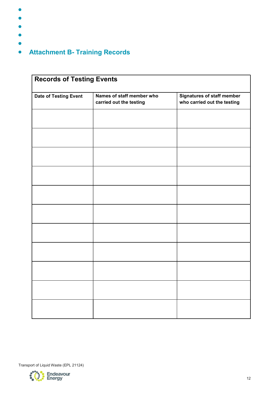- $\bullet$
- $\bullet$
- $\bullet$
- $\bullet$
- $\bullet$
- Attachment B- Training Records  $\bullet$

| <b>Date of Testing Event</b> | Names of staff member who<br>carried out the testing | <b>Signatures of staff member</b><br>who carried out the testing |
|------------------------------|------------------------------------------------------|------------------------------------------------------------------|
|                              |                                                      |                                                                  |
|                              |                                                      |                                                                  |
|                              |                                                      |                                                                  |
|                              |                                                      |                                                                  |
|                              |                                                      |                                                                  |
|                              |                                                      |                                                                  |
|                              |                                                      |                                                                  |
|                              |                                                      |                                                                  |
|                              |                                                      |                                                                  |
|                              |                                                      |                                                                  |
|                              |                                                      |                                                                  |